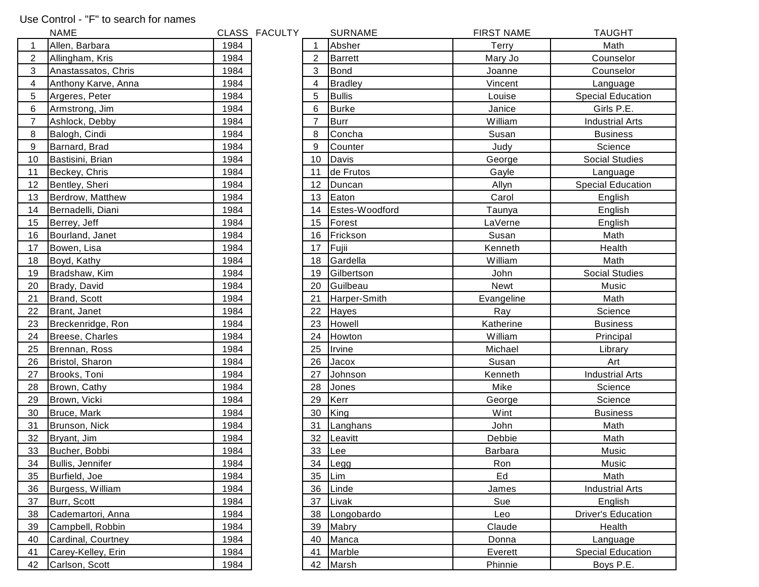## Use Control - "F" to search for names

|    | <b>NAME</b>         |      | CLASS FACULTY |    | <b>SURNAME</b> | <b>FIRST NAME</b> | <b>TAUGHT</b>             |
|----|---------------------|------|---------------|----|----------------|-------------------|---------------------------|
|    | Allen, Barbara      | 1984 |               |    | Absher         | Terry             | Math                      |
| 2  | Allingham, Kris     | 1984 |               | 2  | <b>Barrett</b> | Mary Jo           | Counselor                 |
| 3  | Anastassatos, Chris | 1984 |               | 3  | <b>Bond</b>    | Joanne            | Counselor                 |
| 4  | Anthony Karve, Anna | 1984 |               | 4  | <b>Bradley</b> | Vincent           | Language                  |
| 5  | Argeres, Peter      | 1984 |               | 5  | <b>Bullis</b>  | Louise            | <b>Special Education</b>  |
| 6  | Armstrong, Jim      | 1984 |               | 6  | <b>Burke</b>   | Janice            | Girls P.E.                |
| 7  | Ashlock, Debby      | 1984 |               |    | <b>Burr</b>    | William           | <b>Industrial Arts</b>    |
| 8  | Balogh, Cindi       | 1984 |               | 8  | Concha         | Susan             | <b>Business</b>           |
| 9  | Barnard, Brad       | 1984 |               | 9  | Counter        | Judy              | Science                   |
| 10 | Bastisini, Brian    | 1984 |               | 10 | Davis          | George            | <b>Social Studies</b>     |
| 11 | Beckey, Chris       | 1984 |               | 11 | de Frutos      | Gayle             | Language                  |
| 12 | Bentley, Sheri      | 1984 |               | 12 | Duncan         | Allyn             | <b>Special Education</b>  |
| 13 | Berdrow, Matthew    | 1984 |               | 13 | Eaton          | Carol             | English                   |
| 14 | Bernadelli, Diani   | 1984 |               | 14 | Estes-Woodford | Taunya            | English                   |
| 15 | Berrey, Jeff        | 1984 |               | 15 | Forest         | LaVerne           | English                   |
| 16 | Bourland, Janet     | 1984 |               | 16 | Frickson       | Susan             | Math                      |
| 17 | Bowen, Lisa         | 1984 |               | 17 | Fujii          | Kenneth           | Health                    |
| 18 | Boyd, Kathy         | 1984 |               | 18 | Gardella       | William           | Math                      |
| 19 | Bradshaw, Kim       | 1984 |               | 19 | Gilbertson     | John              | <b>Social Studies</b>     |
| 20 | Brady, David        | 1984 |               | 20 | Guilbeau       | <b>Newt</b>       | Music                     |
| 21 | Brand, Scott        | 1984 |               | 21 | Harper-Smith   | Evangeline        | Math                      |
| 22 | Brant, Janet        | 1984 |               | 22 | <b>Hayes</b>   | Ray               | Science                   |
| 23 | Breckenridge, Ron   | 1984 |               | 23 | Howell         | Katherine         | <b>Business</b>           |
| 24 | Breese, Charles     | 1984 |               | 24 | Howton         | William           | Principal                 |
| 25 | Brennan, Ross       | 1984 |               | 25 | Irvine         | Michael           | Library                   |
| 26 | Bristol, Sharon     | 1984 |               | 26 | Jacox          | Susan             | Art                       |
| 27 | Brooks, Toni        | 1984 |               | 27 | <b>Johnson</b> | Kenneth           | <b>Industrial Arts</b>    |
| 28 | Brown, Cathy        | 1984 |               | 28 | Jones          | Mike              | Science                   |
| 29 | Brown, Vicki        | 1984 |               | 29 | Kerr           | George            | Science                   |
| 30 | Bruce, Mark         | 1984 |               | 30 | King           | Wint              | <b>Business</b>           |
| 31 | Brunson, Nick       | 1984 |               | 31 | Langhans       | John              | Math                      |
| 32 | Bryant, Jim         | 1984 |               | 32 | Leavitt        | Debbie            | Math                      |
| 33 | Bucher, Bobbi       | 1984 |               | 33 | Lee            | <b>Barbara</b>    | Music                     |
| 34 | Bullis, Jennifer    | 1984 |               |    | 34 Legg        | Ron               | Music                     |
| 35 | Burfield, Joe       | 1984 |               | 35 | Lim            | Ed                | Math                      |
| 36 | Burgess, William    | 1984 |               | 36 | Linde          | James             | <b>Industrial Arts</b>    |
| 37 | Burr, Scott         | 1984 |               | 37 | Livak          | Sue               | English                   |
| 38 | Cademartori, Anna   | 1984 |               | 38 | Longobardo     | Leo               | <b>Driver's Education</b> |
| 39 | Campbell, Robbin    | 1984 |               | 39 | Mabry          | Claude            | Health                    |
| 40 | Cardinal, Courtney  | 1984 |               | 40 | Manca          | Donna             | Language                  |
| 41 | Carey-Kelley, Erin  | 1984 |               | 41 | Marble         | Everett           | <b>Special Education</b>  |
| 42 | Carlson, Scott      | 1984 |               |    | 42 Marsh       | Phinnie           | Boys P.E.                 |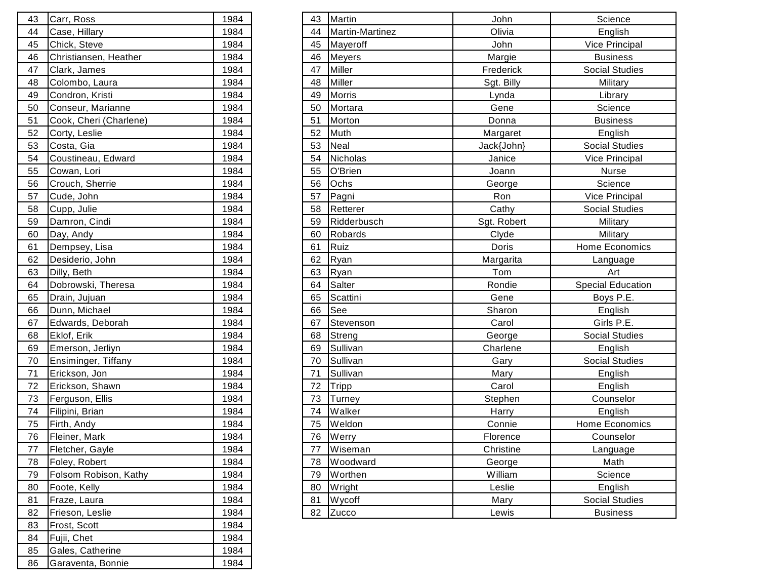| 43 | Carr, Ross             | 1984 |
|----|------------------------|------|
| 44 | Case, Hillary          | 1984 |
| 45 | Chick, Steve           | 1984 |
| 46 | Christiansen, Heather  | 1984 |
| 47 | Clark, James           | 1984 |
| 48 | Colombo, Laura         | 1984 |
| 49 | Condron, Kristi        | 1984 |
| 50 | Conseur, Marianne      | 1984 |
| 51 | Cook, Cheri (Charlene) | 1984 |
| 52 | Corty, Leslie          | 1984 |
| 53 | Costa, Gia             | 1984 |
| 54 | Coustineau, Edward     | 1984 |
| 55 | Cowan, Lori            | 1984 |
| 56 | Crouch, Sherrie        | 1984 |
| 57 | Cude, John             | 1984 |
| 58 | Cupp, Julie            | 1984 |
| 59 | Damron, Cindi          | 1984 |
| 60 | Day, Andy              | 1984 |
| 61 | Dempsey, Lisa          | 1984 |
| 62 | Desiderio, John        | 1984 |
| 63 | Dilly, Beth            | 1984 |
| 64 | Dobrowski, Theresa     | 1984 |
| 65 | Drain, Jujuan          | 1984 |
| 66 | Dunn, Michael          | 1984 |
| 67 | Edwards, Deborah       | 1984 |
| 68 | Eklof, Erik            | 1984 |
| 69 | Emerson, Jerliyn       | 1984 |
| 70 | Ensiminger, Tiffany    | 1984 |
| 71 | Erickson, Jon          | 1984 |
| 72 | Erickson, Shawn        | 1984 |
| 73 | Ferguson, Ellis        | 1984 |
| 74 | Filipini, Brian        | 1984 |
| 75 | Firth, Andy            | 1984 |
| 76 | Fleiner, Mark          | 1984 |
| 77 | Fletcher, Gayle        | 1984 |
| 78 | Foley, Robert          | 1984 |
| 79 | Folsom Robison, Kathy  | 1984 |
| 80 | Foote, Kelly           | 1984 |
| 81 | Fraze, Laura           | 1984 |
| 82 | Frieson, Leslie        | 1984 |
| 83 | Frost, Scott           | 1984 |
| 84 | Fujii, Chet            | 1984 |
| 85 | Gales, Catherine       | 1984 |
| 86 | Garaventa, Bonnie      | 1984 |

| Carr, Ross             | 1984                                                                                                                                                                                  | 43 |                        | John                                                                                                                                                                                                                                                                            | Science                  |
|------------------------|---------------------------------------------------------------------------------------------------------------------------------------------------------------------------------------|----|------------------------|---------------------------------------------------------------------------------------------------------------------------------------------------------------------------------------------------------------------------------------------------------------------------------|--------------------------|
| Case, Hillary          | 1984                                                                                                                                                                                  | 44 | <b>Martin-Martinez</b> | Olivia                                                                                                                                                                                                                                                                          | English                  |
| Chick, Steve           | 1984                                                                                                                                                                                  | 45 |                        | John                                                                                                                                                                                                                                                                            | Vice Principal           |
| Christiansen, Heather  | 1984                                                                                                                                                                                  | 46 |                        | Margie                                                                                                                                                                                                                                                                          | <b>Business</b>          |
| Clark, James           | 1984                                                                                                                                                                                  | 47 |                        | Frederick                                                                                                                                                                                                                                                                       | <b>Social Studies</b>    |
| Colombo, Laura         | 1984                                                                                                                                                                                  | 48 | Miller                 | Sgt. Billy                                                                                                                                                                                                                                                                      | Military                 |
| Condron, Kristi        | 1984                                                                                                                                                                                  | 49 |                        | Lynda                                                                                                                                                                                                                                                                           | Library                  |
| Conseur, Marianne      | 1984                                                                                                                                                                                  | 50 | Mortara                | Gene                                                                                                                                                                                                                                                                            | Science                  |
| Cook, Cheri (Charlene) | 1984                                                                                                                                                                                  | 51 |                        | Donna                                                                                                                                                                                                                                                                           | <b>Business</b>          |
| Corty, Leslie          | 1984                                                                                                                                                                                  | 52 |                        | Margaret                                                                                                                                                                                                                                                                        | English                  |
| Costa, Gia             | 1984                                                                                                                                                                                  | 53 | Neal                   | Jack{John}                                                                                                                                                                                                                                                                      | <b>Social Studies</b>    |
| Coustineau, Edward     | 1984                                                                                                                                                                                  | 54 | Nicholas               | Janice                                                                                                                                                                                                                                                                          | Vice Principal           |
| Cowan, Lori            | 1984                                                                                                                                                                                  | 55 | O'Brien                | Joann                                                                                                                                                                                                                                                                           | Nurse                    |
| Crouch, Sherrie        | 1984                                                                                                                                                                                  | 56 | Ochs                   | George                                                                                                                                                                                                                                                                          | Science                  |
| Cude, John             | 1984                                                                                                                                                                                  | 57 | Pagni                  | Ron                                                                                                                                                                                                                                                                             | Vice Principal           |
| Cupp, Julie            | 1984                                                                                                                                                                                  | 58 | Retterer               | Cathy                                                                                                                                                                                                                                                                           | <b>Social Studies</b>    |
| Damron, Cindi          | 1984                                                                                                                                                                                  | 59 |                        | Sgt. Robert                                                                                                                                                                                                                                                                     | <b>Military</b>          |
| Day, Andy              | 1984                                                                                                                                                                                  | 60 |                        | Clyde                                                                                                                                                                                                                                                                           | Military                 |
| Dempsey, Lisa          | 1984                                                                                                                                                                                  | 61 |                        | Doris                                                                                                                                                                                                                                                                           | Home Economics           |
| Desiderio, John        | 1984                                                                                                                                                                                  | 62 |                        | Margarita                                                                                                                                                                                                                                                                       | Language                 |
| Dilly, Beth            | 1984                                                                                                                                                                                  | 63 | Ryan                   | Tom                                                                                                                                                                                                                                                                             | Art                      |
| Dobrowski, Theresa     | 1984                                                                                                                                                                                  | 64 | Salter                 | Rondie                                                                                                                                                                                                                                                                          | <b>Special Education</b> |
| Drain, Jujuan          | 1984                                                                                                                                                                                  | 65 | Scattini               | Gene                                                                                                                                                                                                                                                                            | Boys P.E.                |
|                        | 1984                                                                                                                                                                                  | 66 |                        | Sharon                                                                                                                                                                                                                                                                          | English                  |
| Edwards, Deborah       | 1984                                                                                                                                                                                  | 67 |                        | Carol                                                                                                                                                                                                                                                                           | Girls P.E.               |
| Eklof, Erik            | 1984                                                                                                                                                                                  | 68 | Streng                 | George                                                                                                                                                                                                                                                                          | <b>Social Studies</b>    |
|                        | 1984                                                                                                                                                                                  | 69 |                        | Charlene                                                                                                                                                                                                                                                                        | English                  |
|                        | 1984                                                                                                                                                                                  | 70 |                        | Gary                                                                                                                                                                                                                                                                            | Social Studies           |
|                        | 1984                                                                                                                                                                                  | 71 |                        | Mary                                                                                                                                                                                                                                                                            | English                  |
|                        | 1984                                                                                                                                                                                  | 72 |                        | Carol                                                                                                                                                                                                                                                                           | English                  |
|                        | 1984                                                                                                                                                                                  | 73 | Turney                 | Stephen                                                                                                                                                                                                                                                                         | Counselor                |
|                        | 1984                                                                                                                                                                                  | 74 | Walker                 | Harry                                                                                                                                                                                                                                                                           | English                  |
|                        | 1984                                                                                                                                                                                  | 75 | Weldon                 | Connie                                                                                                                                                                                                                                                                          | Home Economics           |
|                        | 1984                                                                                                                                                                                  | 76 |                        | Florence                                                                                                                                                                                                                                                                        | Counselor                |
|                        | 1984                                                                                                                                                                                  | 77 |                        | Christine                                                                                                                                                                                                                                                                       | Language                 |
| Foley, Robert          | 1984                                                                                                                                                                                  | 78 | Woodward               | George                                                                                                                                                                                                                                                                          | Math                     |
| Folsom Robison, Kathy  | 1984                                                                                                                                                                                  | 79 |                        | William                                                                                                                                                                                                                                                                         | Science                  |
| Foote, Kelly           | 1984                                                                                                                                                                                  | 80 |                        | Leslie                                                                                                                                                                                                                                                                          | English                  |
| Fraze, Laura           | 1984                                                                                                                                                                                  | 81 |                        | Mary                                                                                                                                                                                                                                                                            | <b>Social Studies</b>    |
| Frieson, Leslie        | 1984                                                                                                                                                                                  |    |                        | Lewis                                                                                                                                                                                                                                                                           | <b>Business</b>          |
|                        | Dunn, Michael<br>Emerson, Jerliyn<br>Ensiminger, Tiffany<br>Erickson, Jon<br>Erickson, Shawn<br>Ferguson, Ellis<br>Filipini, Brian<br>Firth, Andy<br>Fleiner, Mark<br>Fletcher, Gayle |    |                        | Martin<br>Mayeroff<br><b>Meyers</b><br><b>Miller</b><br><b>Morris</b><br>Morton<br>Muth<br>Ridderbusch<br>Robards<br>Ruiz<br>Ryan<br>See<br>Stevenson<br>Sullivan<br>Sullivan<br>Sullivan<br>Tripp<br>Werry<br>Wiseman<br>Worthen<br><b>Wright</b><br><b>Wycoff</b><br>82 Zucco |                          |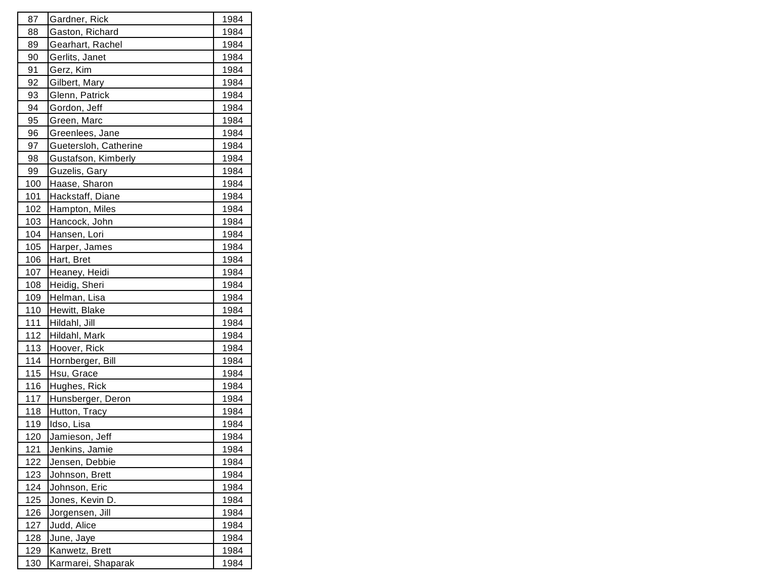| 87          | Gardner, Rick         | 1984 |
|-------------|-----------------------|------|
| 88          | Gaston, Richard       | 1984 |
| 89          | Gearhart, Rachel      | 1984 |
| 90          | Gerlits, Janet        | 1984 |
| 91          | Gerz, Kim             | 1984 |
| 92          | Gilbert, Mary         | 1984 |
| 93          | Glenn, Patrick        | 1984 |
| 94          | Gordon, Jeff          | 1984 |
| 95          | Green, Marc           | 1984 |
| 96          | Greenlees, Jane       | 1984 |
| 97          | Guetersloh, Catherine | 1984 |
| 98          | Gustafson, Kimberly   | 1984 |
| 99          | Guzelis, Gary         | 1984 |
| 100         | Haase, Sharon         | 1984 |
| 101         | Hackstaff, Diane      | 1984 |
| 102         | Hampton, Miles        | 1984 |
| 103         | Hancock, John         | 1984 |
| 104         | Hansen, Lori          | 1984 |
| 105         | Harper, James         | 1984 |
| 106         | Hart, Bret            | 1984 |
| 107         | Heaney, Heidi         | 1984 |
| 108         | Heidig, Sheri         | 1984 |
| 109         | Helman, Lisa          | 1984 |
| 110         | Hewitt, Blake         | 1984 |
| 111         | Hildahl, Jill         | 1984 |
| 112         | Hildahl, Mark         | 1984 |
| 113         | Hoover, Rick          | 1984 |
| 114         | Hornberger, Bill      | 1984 |
| 115         | Hsu, Grace            | 1984 |
| 116         | Hughes, Rick          | 1984 |
| 117         | Hunsberger, Deron     | 1984 |
| 118         | Hutton, Tracy         | 1984 |
| 119         | Idso, Lisa            | 1984 |
| 120         | Jamieson, Jeff        | 1984 |
| 121         | Jenkins, Jamie        | 1984 |
| 122         | Jensen, Debbie        | 1984 |
| <u> 123</u> | Johnson, Brett        | 1984 |
| <u>124</u>  | Johnson, Eric         | 1984 |
| 125         | Jones, Kevin D.       | 1984 |
| 126         | Jorgensen, Jill       | 1984 |
| 127         | Judd, Alice           | 1984 |
| <u>128</u>  | June, Jaye            | 1984 |
| <u>129</u>  | Kanwetz, Brett        | 1984 |
| 130         | Karmarei, Shaparak    | 1984 |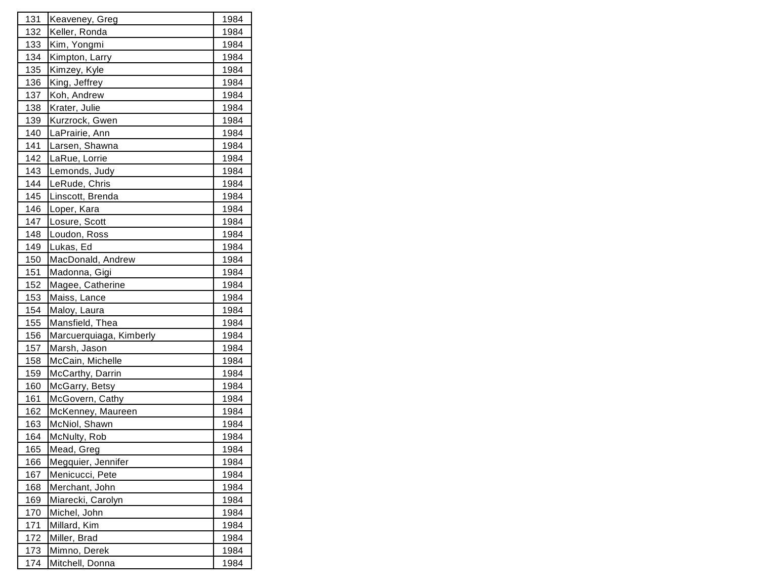| 131         | Keaveney, Greg          | 1984 |
|-------------|-------------------------|------|
| 132         | Keller, Ronda           | 1984 |
| 133         | Kim, Yongmi             | 1984 |
| 134         | Kimpton, Larry          | 1984 |
| 135         | Kimzey, Kyle            | 1984 |
| 136         | King, Jeffrey           | 1984 |
| 137         | Koh, Andrew             | 1984 |
| 138         | Krater, Julie           | 1984 |
| 139         | Kurzrock, Gwen          | 1984 |
| 140         | LaPrairie, Ann          | 1984 |
| 141         | Larsen, Shawna          | 1984 |
| <u> 142</u> | LaRue, Lorrie           | 1984 |
| 143         | Lemonds, Judy           | 1984 |
| 144         | LeRude, Chris           | 1984 |
| 145         | Linscott, Brenda        | 1984 |
| 146         | Loper, Kara             | 1984 |
| 147         | Losure, Scott           | 1984 |
| 148         | Loudon, Ross            | 1984 |
| 149         | Lukas, Ed               | 1984 |
| 150         | MacDonald, Andrew       | 1984 |
| 151         | Madonna, Gigi           | 1984 |
| 152         | Magee, Catherine        | 1984 |
| 153         | Maiss, Lance            | 1984 |
| 154         | Maloy, Laura            | 1984 |
| 155         | Mansfield, Thea         | 1984 |
| 156         | Marcuerquiaga, Kimberly | 1984 |
| 157         | Marsh, Jason            | 1984 |
| 158         | McCain, Michelle        | 1984 |
| 159         | McCarthy, Darrin        | 1984 |
| 160         | McGarry, Betsy          | 1984 |
| 161         | McGovern, Cathy         | 1984 |
| 162         | McKenney, Maureen       | 1984 |
| 163         | McNiol, Shawn           | 1984 |
| 164         | McNulty, Rob            | 1984 |
| 165         | Mead, Greg              | 1984 |
| 166         | Megquier, Jennifer      | 1984 |
| 167         | Menicucci, Pete         | 1984 |
| 168         | Merchant, John          | 1984 |
| 169         | Miarecki, Carolyn       | 1984 |
| 170         | Michel, John            | 1984 |
| 171         | Millard, Kim            | 1984 |
| 172         | Miller, Brad            | 1984 |
| 173         | Mimno, Derek            | 1984 |
| 174         | Mitchell, Donna         | 1984 |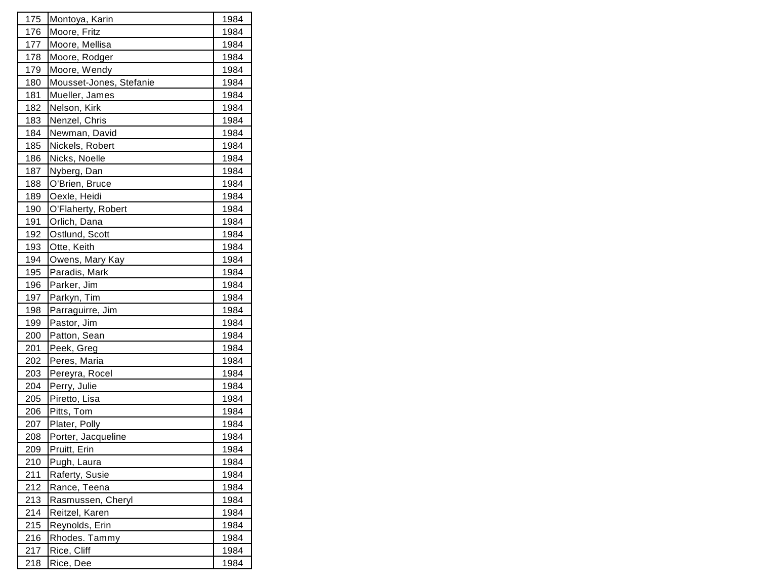| 175         | Montoya, Karin          | 1984 |
|-------------|-------------------------|------|
| 176         | Moore, Fritz            | 1984 |
| 177         | Moore, Mellisa          | 1984 |
| 178         | Moore, Rodger           | 1984 |
| 179         | Moore, Wendy            | 1984 |
| 180         | Mousset-Jones, Stefanie | 1984 |
| 181         | Mueller, James          | 1984 |
| 182         | Nelson, Kirk            | 1984 |
| 183         | Nenzel, Chris           | 1984 |
| 184         | Newman, David           | 1984 |
| 185         | Nickels, Robert         | 1984 |
| 186         | Nicks, Noelle           | 1984 |
| 187         | Nyberg, Dan             | 1984 |
| 188         | O'Brien, Bruce          | 1984 |
| 189         | Oexle, Heidi            | 1984 |
| 190         | O'Flaherty, Robert      | 1984 |
| 191         | Orlich, Dana            | 1984 |
| <u>192</u>  | Ostlund, Scott          | 1984 |
| 193         | Otte, Keith             | 1984 |
| 194         | Owens, Mary Kay         | 1984 |
| 195         | Paradis, Mark           | 1984 |
| 196         | Parker, Jim             | 1984 |
| 197         | Parkyn, Tim             | 1984 |
| 198         | Parraguirre, Jim        | 1984 |
| 199         | Pastor, Jim             | 1984 |
| 200         | Patton, Sean            | 1984 |
| 201         | Peek, Greg              | 1984 |
| 202         | Peres, Maria            | 1984 |
| 203         | Pereyra, Rocel          | 1984 |
| 204         | Perry, Julie            | 1984 |
| 205         | Piretto, Lisa           | 1984 |
| 206         | Pitts, Tom              | 1984 |
| 207         | Plater, Polly           | 1984 |
| 208         | Porter, Jacqueline      | 1984 |
| 209         | Pruitt, Erin            | 1984 |
| 210         | Pugh, Laura             | 1984 |
| <u> 211</u> | Raferty, Susie          | 1984 |
| <u>212</u>  | Rance, Teena            | 1984 |
| 213         | Rasmussen, Cheryl       | 1984 |
| 214         | Reitzel, Karen          | 1984 |
| 215         | Reynolds, Erin          | 1984 |
| <u>216</u>  | Rhodes. Tammy           | 1984 |
| <u>217</u>  | Rice, Cliff             | 1984 |
| 218         | Rice, Dee               | 1984 |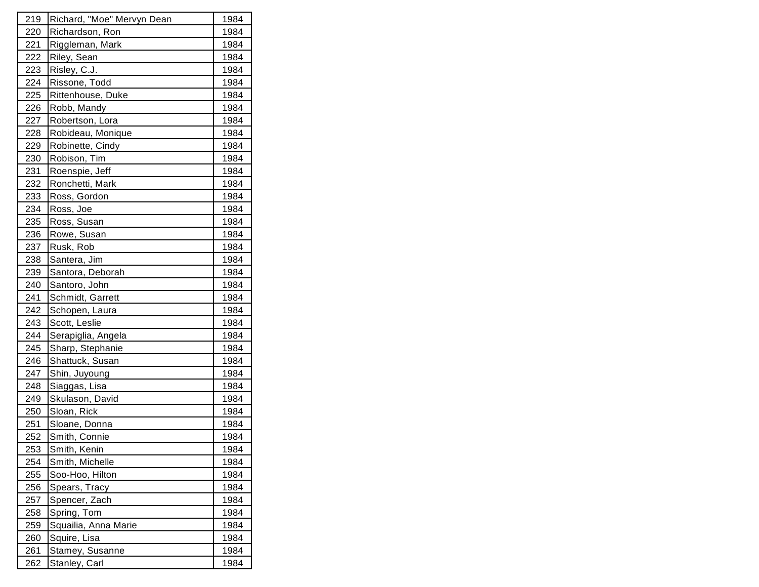| 219        | Richard, "Moe" Mervyn Dean | 1984        |
|------------|----------------------------|-------------|
| 220        | Richardson, Ron            | 1984        |
| 221        | Riggleman, Mark            | 1984        |
| 222        | Riley, Sean                | 1984        |
| 223        | Risley, C.J.               | 1984        |
| 224        | Rissone, Todd              | 1984        |
| 225        | Rittenhouse, Duke          | 1984        |
| 226        | Robb, Mandy                | 1984        |
| 227        | Robertson, Lora            | 1984        |
| <u>228</u> | Robideau, Monique          | 1984        |
| 229        | Robinette, Cindy           | 1984        |
| 230        | Robison, Tim               | 1984        |
| 231        | Roenspie, Jeff             | 1984        |
| 232        | Ronchetti, Mark            | 1984        |
| 233        | Ross, Gordon               | 1984        |
| 234        | Ross, Joe                  | 1984        |
| 235        | Ross, Susan                | 1984        |
| 236        | Rowe, Susan                | 1984        |
| 237        | Rusk, Rob                  | 1984        |
| 238        | Santera, Jim               | 1984        |
| 239        | Santora, Deborah           | 1984        |
| 240        | Santoro, John              | 1984        |
| 241        | Schmidt, Garrett           | 1984        |
| 242        | Schopen, Laura             | 1984        |
| 243        | Scott, Leslie              | 1984        |
| 244        | Serapiglia, Angela         | 1984        |
| 245        | Sharp, Stephanie           | 1984        |
| 246        | Shattuck, Susan            | 1984        |
| 247        | Shin, Juyoung              | 1984        |
| 248        | Siaggas, Lisa              | 1984        |
| 249        | Skulason, David            | 1984        |
| 250        | Sloan, Rick                | 1984        |
| 251        | Sloane, Donna              | 1984        |
| 252        | Smith, Connie              | 1984        |
| <u>253</u> | Smith, Kenin               | <u>1984</u> |
| 254        | Smith, Michelle            | 1984        |
| 255        | Soo-Hoo, Hilton            | 1984        |
| <u>256</u> | Spears, Tracy              | 1984        |
| 257        | Spencer, Zach              | 1984        |
| 258        | Spring, Tom                | 1984        |
| 259        | Squailia, Anna Marie       | 1984        |
| <u>260</u> | Squire, Lisa               | 1984        |
| <u>261</u> | Stamey, Susanne            | 1984        |
| 262        | Stanley, Carl              | 1984        |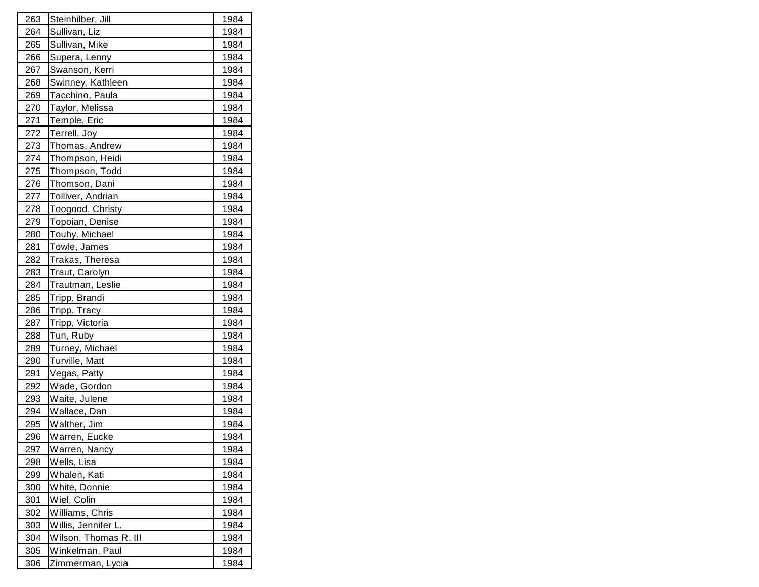| 263        | Steinhilber, Jill     | 1984 |
|------------|-----------------------|------|
| 264        | Sullivan, Liz         | 1984 |
| 265        | Sullivan, Mike        | 1984 |
| 266        | Supera, Lenny         | 1984 |
| 267        | Swanson, Kerri        | 1984 |
| 268        | Swinney, Kathleen     | 1984 |
| 269        | Tacchino, Paula       | 1984 |
| 270        | Taylor, Melissa       | 1984 |
| 271        | Temple, Eric          | 1984 |
| 272        | Terrell, Joy          | 1984 |
| 273        | Thomas, Andrew        | 1984 |
| <u>274</u> | Thompson, Heidi       | 1984 |
| 275        | Thompson, Todd        | 1984 |
| 276        | Thomson, Dani         | 1984 |
| 277        | Tolliver, Andrian     | 1984 |
| 278        | Toogood, Christy      | 1984 |
| 279        | Topoian, Denise       | 1984 |
| 280        | Touhy, Michael        | 1984 |
| 281        | Towle, James          | 1984 |
| 282        | Trakas, Theresa       | 1984 |
| 283        | Traut, Carolyn        | 1984 |
| 284        | Trautman, Leslie      | 1984 |
| 285        | Tripp, Brandi         | 1984 |
| 286        | Tripp, Tracy          | 1984 |
| 287        | Tripp, Victoria       | 1984 |
| 288        | Tun, Ruby             | 1984 |
| 289        | Turney, Michael       | 1984 |
| 290        | Turville, Matt        | 1984 |
| 291        | Vegas, Patty          | 1984 |
| 292        | Wade, Gordon          | 1984 |
| 293        | Waite, Julene         | 1984 |
| 294        | Wallace, Dan          | 1984 |
| 295        | Walther, Jim          | 1984 |
| 296        | Warren, Eucke         | 1984 |
| 297        | Warren, Nancy         | 1984 |
| 298        | Wells, Lisa           | 1984 |
| <u>299</u> | Whalen, Kati          | 1984 |
| 300        | White, Donnie         | 1984 |
| 301        | Wiel, Colin           | 1984 |
| 302        | Williams, Chris       | 1984 |
| 303        | Willis, Jennifer L.   | 1984 |
| 304        | Wilson, Thomas R. III | 1984 |
| 305        | Winkelman, Paul       | 1984 |
| 306        | Zimmerman, Lycia      | 1984 |